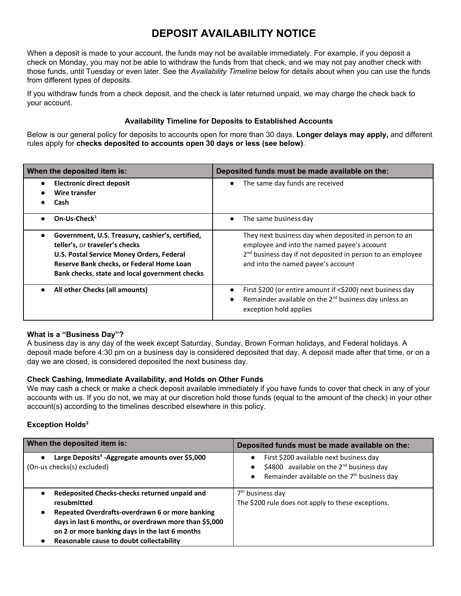# **DEPOSIT AVAILABILITY NOTICE**

When a deposit is made to your account, the funds may not be available immediately. For example, if you deposit a check on Monday, you may not be able to withdraw the funds from that check, and we may not pay another check with those funds, until Tuesday or even later. See the *Availability Timeline* below for details about when you can use the funds from different types of deposits.

If you withdraw funds from a check deposit, and the check is later returned unpaid, we may charge the check back to your account.

#### **Availability Timeline for Deposits to Established Accounts**

Below is our general policy for deposits to accounts open for more than 30 days. **Longer delays may apply,** and different rules apply for **checks deposited to accounts open 30 days or less (see below)**.

| When the deposited item is:                                                                                                                                                                                                                 | Deposited funds must be made available on the:                                                                                                                                                                       |
|---------------------------------------------------------------------------------------------------------------------------------------------------------------------------------------------------------------------------------------------|----------------------------------------------------------------------------------------------------------------------------------------------------------------------------------------------------------------------|
| <b>Electronic direct deposit</b><br>$\bullet$<br>Wire transfer<br>Cash                                                                                                                                                                      | The same day funds are received<br>$\bullet$                                                                                                                                                                         |
| On-Us-Check $1$<br>$\bullet$                                                                                                                                                                                                                | The same business day                                                                                                                                                                                                |
| Government, U.S. Treasury, cashier's, certified,<br>$\bullet$<br>teller's, or traveler's checks<br>U.S. Postal Service Money Orders, Federal<br>Reserve Bank checks, or Federal Home Loan<br>Bank checks, state and local government checks | They next business day when deposited in person to an<br>employee and into the named payee's account<br>2 <sup>nd</sup> business day if not deposited in person to an employee<br>and into the named payee's account |
| All other Checks (all amounts)<br>$\bullet$                                                                                                                                                                                                 | First \$200 (or entire amount if <\$200) next business day<br>Remainder available on the 2 <sup>nd</sup> business day unless an<br>exception hold applies                                                            |

### **What is a "Business Day"?**

A business day is any day of the week except Saturday, Sunday, Brown Forman holidays, and Federal holidays. A deposit made before 4:30 pm on a business day is considered deposited that day. A deposit made after that time, or on a day we are closed, is considered deposited the next business day.

#### **Check Cashing, Immediate Availability, and Holds on Other Funds**

We may cash a check or make a check deposit available immediately if you have funds to cover that check in any of your accounts with us. If you do not, we may at our discretion hold those funds (equal to the amount of the check) in your other account(s) according to the timelines described elsewhere in this policy.

#### **Exception Holds 2**

| When the deposited item is:                                                                                                                                                                                                                                                                           | Deposited funds must be made available on the:                                                                                                                                   |
|-------------------------------------------------------------------------------------------------------------------------------------------------------------------------------------------------------------------------------------------------------------------------------------------------------|----------------------------------------------------------------------------------------------------------------------------------------------------------------------------------|
| Large Deposits <sup>3</sup> - Aggregate amounts over \$5,000<br>$\bullet$<br>(On-us checks(s) excluded)                                                                                                                                                                                               | First \$200 available next business day<br>$\bullet$<br>\$4800 available on the $2^{nd}$ business day<br>$\bullet$<br>Remainder available on the $7th$ business day<br>$\bullet$ |
| Redeposited Checks-checks returned unpaid and<br>٠<br>resubmitted<br>Repeated Overdrafts-overdrawn 6 or more banking<br>$\bullet$<br>days in last 6 months, or overdrawn more than \$5,000<br>on 2 or more banking days in the last 6 months<br>Reasonable cause to doubt collectability<br>$\bullet$ | 7 <sup>th</sup> business day<br>The \$200 rule does not apply to these exceptions.                                                                                               |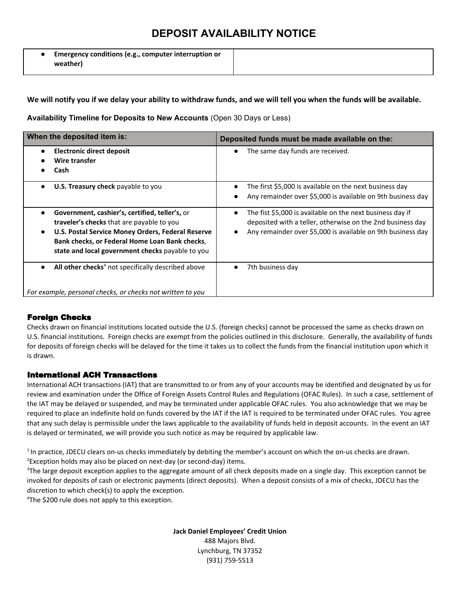### **DEPOSIT AVAILABILITY NOTICE**

● **Emergency conditions (e.g., computer interruption or weather)**

We will notify you if we delay your ability to withdraw funds, and we will tell you when the funds will be available.

**Availability Timeline for Deposits to New Accounts** (Open 30 Days or Less)

| When the deposited item is:                                                                                                                                                                                                                                                      | Deposited funds must be made available on the:                                                                                                                                                                   |
|----------------------------------------------------------------------------------------------------------------------------------------------------------------------------------------------------------------------------------------------------------------------------------|------------------------------------------------------------------------------------------------------------------------------------------------------------------------------------------------------------------|
| Electronic direct deposit<br>$\bullet$<br>Wire transfer<br>Cash                                                                                                                                                                                                                  | The same day funds are received.<br>$\bullet$                                                                                                                                                                    |
| U.S. Treasury check payable to you<br>$\bullet$                                                                                                                                                                                                                                  | The first \$5,000 is available on the next business day<br>$\bullet$<br>Any remainder over \$5,000 is available on 9th business day                                                                              |
| Government, cashier's, certified, teller's, or<br>$\bullet$<br>traveler's checks that are payable to you<br>U.S. Postal Service Money Orders, Federal Reserve<br>$\bullet$<br>Bank checks, or Federal Home Loan Bank checks,<br>state and local government checks payable to you | The fist \$5,000 is available on the next business day if<br>$\bullet$<br>deposited with a teller, otherwise on the 2nd business day<br>Any remainder over \$5,000 is available on 9th business day<br>$\bullet$ |
| All other checks <sup>4</sup> not specifically described above<br>$\bullet$<br>For example, personal checks, or checks not written to you                                                                                                                                        | 7th business day                                                                                                                                                                                                 |

#### Foreign Checks

Checks drawn on financial institutions located outside the U.S. (foreign checks) cannot be processed the same as checks drawn on U.S. financial institutions. Foreign checks are exempt from the policies outlined in this disclosure. Generally, the availability of funds for deposits of foreign checks will be delayed for the time it takes us to collect the funds from the financial institution upon which it is drawn.

#### International ACH Transactions

International ACH transactions (IAT) that are transmitted to or from any of your accounts may be identified and designated by us for review and examination under the Office of Foreign Assets Control Rules and Regulations (OFAC Rules). In such a case, settlement of the IAT may be delayed or suspended, and may be terminated under applicable OFAC rules. You also acknowledge that we may be required to place an indefinite hold on funds covered by the IAT if the IAT is required to be terminated under OFAC rules. You agree that any such delay is permissible under the laws applicable to the availability of funds held in deposit accounts. In the event an IAT is delayed or terminated, we will provide you such notice as may be required by applicable law.

<sup>1</sup>In practice, JDECU clears on-us checks immediately by debiting the member's account on which the on-us checks are drawn.  $2E$ xception holds may also be placed on next-day (or second-day) items.

<sup>3</sup>The large deposit exception applies to the aggregate amount of all check deposits made on a single day. This exception cannot be invoked for deposits of cash or electronic payments (direct deposits). When a deposit consists of a mix of checks, JDECU has the discretion to which check(s) to apply the exception.

<sup>4</sup>The \$200 rule does not apply to this exception.

**Jack Daniel Employees' Credit Union** 488 Majors Blvd. Lynchburg, TN 37352 (931) 759-5513